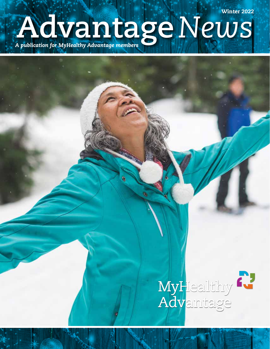Winter 2022

# **Advantage***News*

G

*A publication for MyHealthy Advantage members*



Winter 2022 <sup>I</sup> Advantage News**2**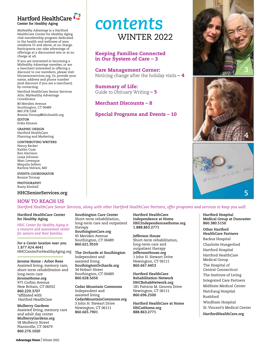

Center for Healthy Aging

*MyHealthy Advantage* is a Hartford HealthCare Center for Healthy Aging club membership program dedicated to the health and wellness of area residents 55 and above, at no charge. Participants can take advantage of offerings at a discounted rate or at no charge at all.

If you are interested in becoming a *MyHealthy Advantage* member, or are a merchant interested in offering a discount to our members, please visit hhcseniorservices.org. Or, provide your name, address and phone number (and discount if you are a merchant) by contacting:

Hartford HealthCare Senior Services Attn: MyHealthy Advantage Coordinator

80 Meriden Avenue Southington, CT 06489 860.378.1268 Bonnie.Tormay@hhchealth.org **Editor** Erika Stinson

**Graphic Design** Hartford HealthCare Planning and Marketing

#### **Contributing Writers**

Nancy Becker Kaitlin Cuas Ken Harrison Leaja Johnson Marc Levesque Maquita Sellers Rachna Valvani, MD

**Events Coordinator** Bonnie Tormay

**Photography** Rusty Kimball

#### **HHCSeniorServices.org**

### **How to reach us**

**8** *Hartford HealthCare Senior Services, along with other Hartford HealthCare Partners, offer programs and services to keep you well.*

*contents*

Keeping Families Connected in Our System of Care – 3

Care Management Corner:

Guide to Obituary Writing  $-5$ 

Merchant Discounts – 8

Summary of Life:

Noticing change after the holiday visits  $-4$ 

Special Programs and Events – 10

WINTER 2022

#### **Hartford HealthCare Center for Healthy Aging**

*HHC Center for Healthy Aging is a resource and assessment center for seniors and their families.*

*For a Center location near you: 1.877.424.4641* HHCCenterForHealthyAging.org

**Jerome Home / Arbor Rose**

Assisted living, memory care, short-term rehabilitation and long-term care **JeromeHome.org** 975 Corbin Avenue New Britain, CT 06052 **860.229.3707** \*affiliated with Hartford HealthCare

**Mulberry Gardens** Assisted living, memory care and adult day center **MulberryGardens.org** 58 Mulberry Street Plantsville, CT 06479 **860.276.1020**

**Southington Care Center** Short-term rehabilitation, long-term care and outpatient therapy **SouthingtonCare.org** 45 Meriden Avenue Southington, CT 06489 **860.621.9559**

**The Orchards at Southington** Independent and assisted living **SouthingtonOrchards.org** 34 Hobart Street Southington, CT 06489 **860.628.5656**

**Cedar Mountain Commons** Independent and assisted living **CedarMountainCommons.org** 3 John H. Stewart Drive Newington, CT 06111 **860.665.7901**

**Hartford HealthCare Independence at Home HHCIndependenceathome.org 1.888.863.2771**

**Jefferson House** Short-term rehabilitation, long-term care and outpatient therapy **JeffersonHouse.org** 1 John H. Stewart Drive Newington, CT 06111 **860.667.4453**

**Hartford HealthCare Rehabilitation Network HHCRehabNetwork.org** 181 Patricia M. Genova Drive Newington, CT 06111 **860.696.2500**

**Hartford HealthCare at Home HHCatHome.org 888.863.2771**







**Hartford Hospital Medical Group at Duncaster 860.380.5150**

**Other Hartford HealthCare Partners** Backus Hospital Charlotte Hungerford Hartford Hospital Hartford HealthCare Medical Group The Hospital of Central Connecticut The Institute of Living Integrated Care Partners MidState Medical Center Natchaug Hospital Rushford Windham Hospital St. Vincent's Medical Center **HartfordHealthCare.org**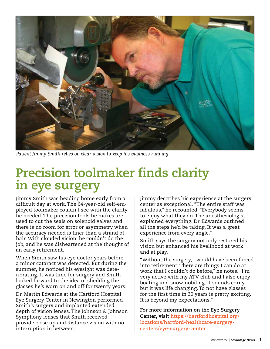

*Patient Jimmy Smith relies on clear vision to keep his business running.*

# **Precision toolmaker finds clarity in eye surgery**

Jimmy Smith was heading home early from a difficult day at work. The 64-year-old self-employed toolmaker couldn't see with the clarity he needed. The precision tools he makes are used to cut the seals on solenoid valves and there is no room for error or asymmetry when the accuracy needed is finer than a strand of hair. With clouded vision, he couldn't do the job, and he was disheartened at the thought of an early retirement.

When Smith saw his eye doctor years before, a minor cataract was detected. But during the summer, he noticed his eyesight was deteriorating. It was time for surgery and Smith looked forward to the idea of shedding the glasses he's worn on and off for twenty years.

Dr. Martin Edwards at the Hartford Hospital Eye Surgery Center in Newington performed Smith's surgery and implanted extended depth of vision lenses. The Johnson & Johnson Symphony lenses that Smith received provide close up and distance vision with no interruption in between.

Jimmy describes his experience at the surgery center as exceptional. "The entire staff was fabulous," he recounted. "Everybody seems to enjoy what they do. The anesthesiologist explained everything. Dr. Edwards outlined all the steps he'd be taking. It was a great experience from every angle."

Smith says the surgery not only restored his vision but enhanced his livelihood at work and at play.

"Without the surgery, I would have been forced into retirement. There are things I can do at work that I couldn't do before," he notes. "I'm very active with my ATV club and I also enjoy boating and snowmobiling. It sounds corny, but it was life changing. To not have glasses for the first time in 30 years is pretty exciting. It is beyond my expectations."

**For more information on the Eye Surgery Center, visit https://hartfordhospital.org/ locations/hartford-healthcare-surgerycenters/eye-surgery-center**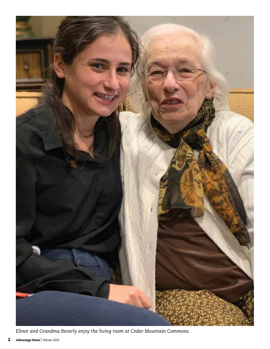

*Elinor and Grandma Beverly enjoy the living room at Cedar Mountain Commons.*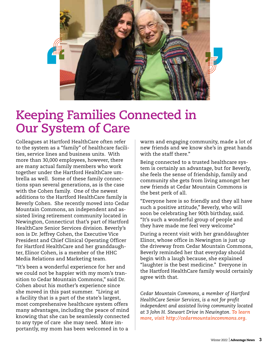

# **Keeping Families Connected in Our System of Care**

Colleagues at Hartford HealthCare often refer to the system as a "family" of healthcare facilities, service lines and business units. With more than 30,000 employees, however, there are many actual family members who work together under the Hartford HealthCare umbrella as well. Some of these family connections span several generations, as is the case with the Cohen family. One of the newest additions to the Hartford HealthCare family is Beverly Cohen. She recently moved into Cedar Mountain Commons, an independent and assisted living retirement community located in Newington, Connecticut that's part of Hartford HealthCare Senior Services division. Beverly's son is Dr. Jeffrey Cohen, the Executive Vice President and Chief Clinical Operating Officer for Hartford HealthCare and her granddaughter, Elinor Cohen, is a member of the HHC Media Relations and Marketing team.

"It's been a wonderful experience for her and we could not be happier with my mom's transition to Cedar Mountain Commons," said Dr. Cohen about his mother's experience since she moved in this past summer. "Living at a facility that is a part of the state's largest, most comprehensive healthcare system offers many advantages, including the peace of mind knowing that she can be seamlessly connected to any type of care she may need. More importantly, my mom has been welcomed in to a

warm and engaging community, made a lot of new friends and we know she's in great hands with the staff there."

Being connected to a trusted healthcare system is certainly an advantage, but for Beverly, she feels the sense of friendship, family and community she gets from living amongst her new friends at Cedar Mountain Commons is the best perk of all.

"Everyone here is so friendly and they all have such a positive attitude," Beverly, who will soon be celebrating her 90th birthday, said. "It's such a wonderful group of people and they have made me feel very welcome"

During a recent visit with her granddaughter Elinor, whose office in Newington is just up the driveway from Cedar Mountain Commons, Beverly reminded her that everyday should begin with a laugh because, she explained "laughter is the best medicine." Everyone in the Hartford HealthCare family would certainly agree with that.

*Cedar Mountain Commons, a member of Hartford HealthCare Senior Services, is a not for profit independent and assisted living community located at 3 John H. Stewart Drive in Newington. To learn more, visit http://cedarmountaincommons.org.*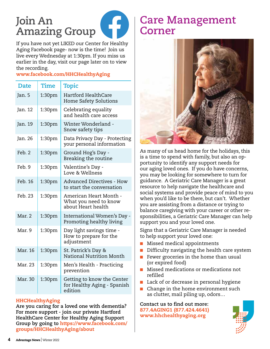# **Join An Amazing Group**



If you have not yet LIKED our Center for Healthy Aging Facebook page- now is the time! Join us live every Wednesday at 1:30pm. If you miss us earlier in the day, visit our page later on to view the recording.

# www.facebook.com/HHCHealthyAging

| <b>Date</b> | Time               | <b>Topic</b>                                                          |
|-------------|--------------------|-----------------------------------------------------------------------|
| Jan. 5      | 1:30 <sub>pm</sub> | Hartford HealthCare<br><b>Home Safety Solutions</b>                   |
| Jan. 12     | 1:30pm             | Celebrating equality<br>and health care access                        |
| Jan. 19     | 1:30pm             | Winter Wonderland -<br>Snow safety tips                               |
| Jan. 26     | 1:30pm             | Data Privacy Day - Protecting<br>your personal information            |
| Feb. 2      | 1:30pm             | Ground Hog's Day -<br>Breaking the routine                            |
| Feb. 9      | 1:30 <sub>pm</sub> | Valentine's Day -<br>Love & Wellness                                  |
| Feb. 16     | 1:30pm             | <b>Advanced Directives - How</b><br>to start the conversation         |
| Feb. 23     | 1:30pm             | American Heart Month -<br>What you need to know<br>about Heart health |
| Mar. 2      | 1:30pm             | International Women's Day -<br>Promoting healthy living               |
| Mar. 9      | 1:30pm             | Day light savings time -<br>How to prepare for the<br>adjustment      |
| Mar. 16     | 1:30pm             | St. Patrick's Day &<br>National Nutrition Month                       |
| Mar. 23     | 1:30pm             | Men's Health - Practicing<br>prevention                               |
| Mar. 30     | 1:30 <sub>pm</sub> | Getting to know the Center<br>for Healthy Aging - Spanish<br>edition  |

# HHCHealthyAging

**Are you caring for a loved one with dementia? For more support - join our private Hartford HealthCare Center for Healthy Aging Support Group by going to** https://www.facebook.com/ groups/HHCHealthyAging/about

# **Care Management Corner**



As many of us head home for the holidays, this is a time to spend with family, but also an opportunity to identify any support needs for our aging loved ones. If you do have concerns, you may be looking for somewhere to turn for guidance. A Geriatric Care Manager is a great resource to help navigate the healthcare and social systems and provide peace of mind to you when you'd like to be there, but can't. Whether you are assisting from a distance or trying to balance caregiving with your career or other responsibilities, a Geriatric Care Manager can help support you and your loved one.

Signs that a Geriatric Care Manager is needed to help support your loved one:

- Missed medical appointments
- Difficulty navigating the health care system
- Fewer groceries in the home than usual (or expired food)
- Missed medications or medications not refilled
- Lack of or decrease in personal hygiene
- Change in the home environment such as clutter, mail piling up, odors…

**Contact us to find out more:**  877.4AGING1 (877.424.4641) www.hhchealthyaging.org

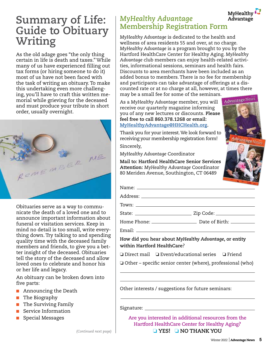# **Summary of Life: Guide to Obituary Writing**

As the old adage goes "the only thing certain in life is death and taxes." While many of us have experienced filling out tax forms (or hiring someone to do it) most of us have not been faced with the task of writing an obituary. To make this undertaking even more challenging, you'll have to craft this written memorial while grieving for the deceased and must produce your tribute in short order, usually overnight.



Obituaries serve as a way to communicate the death of a loved one and to announce important information about funeral or visitation services. Keep in mind no detail is too small, write everything down. Try talking to and spending quality time with the deceased family members and friends, to give you a better insight of the deceased. Obituaries tell the story of the deceased and allow loved ones to celebrate and honor his or her life and legacy.

An obituary can be broken down into five parts:

- Announcing the Death
- The Biography
- The Surviving Family
- Service Information
- Special Messages

#### MyHealthy " *MyHealthy Advantage* Advantage **Membership Registration Form**

*MyHealthy Advantage* is dedicated to the health and wellness of area residents 55 and over, at no charge. *MyHealthy Advantage* is a program brought to you by the Hartford HealthCare Center for Healthy Aging. *MyHealthy Advantage* club members can enjoy health-related activities, informational sessions, seminars and health fairs. Discounts to area merchants have been included as an added bonus to members. There is no fee for membership and participants can take advantage of offerings at a discounted rate or at no charge at all, however, at times there may be a small fee for some of the seminars.

As a *MyHealthy Advantage* member, you will receive our quarterly magazine informing you of any new lectures or discounts. **Please feel free to call 860.378.1268 or email: MyHealthyAdvantage@HHCHealth.org.**

Thank you for your interest. We look forward to receiving your membership registration form! Sincerely,

*MyHealthy Advantage* Coordinator

**Mail to: Hartford HealthCare Senior Services Attention:** *MyHealthy Advantage* Coordinator 80 Meriden Avenue, Southington, CT 06489



| <b>sttention:</b> MyHealthy Advantage Coo |  |
|-------------------------------------------|--|
| 0 Meriden Avenue, Southington, CT         |  |

| Name:    |  |
|----------|--|
| Address: |  |
| Town:    |  |

State: Zip Code:

Home Phone: 2008 Contract Contract Date of Birth:

Email:

**How did you hear about** *MyHealthy Advantage***, or entity within Hartford HealthCare**?

❏ Direct mail ❏ Event/educational series ❏ Friend

❏ Other – specific senior center (where), professional (who)

Other interests / suggestions for future seminars:

Signature:

**Are you interested in additional resources from the Hartford HealthCare Center for Healthy Aging?** ❏ **YES!** ❏ **NO THANK YOU**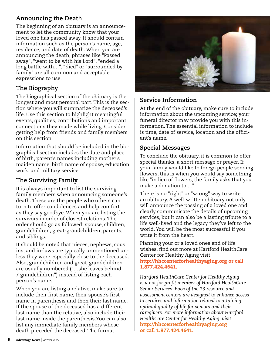# **Announcing the Death**

The beginning of an obituary is an announcement to let the community know that your loved one has passed away. It should contain information such as the person's name, age, residence, and date of death. When you are announcing the death, phrases like "Passed away", "went to be with his Lord", "ended a long battle with…", "died" or "surrounded by family" are all common and acceptable expressions to use.

# **The Biography**

The biographical section of the obituary is the longest and most personal part. This is the section where you will summarize the deceased's life. Use this section to highlight meaningful events, qualities, contributions and important connections they made while living. Consider getting help from friends and family members on this section.

Information that should be included in the biographical section includes the date and place of birth, parent's names including mother's maiden name, birth name of spouse, education, work, and military service.

# **The Surviving Family**

It is always important to list the surviving family members when announcing someone's death. These are the people who others can turn to offer condolences and help comfort as they say goodbye. When you are listing the survivors in order of closest relations. The order should go as followed: spouse, children, grandchildren, great-grandchildren, parents, and siblings.

It should be noted that nieces, nephews, cousins, and in-laws are typically unmentioned unless they were especially close to the deceased. Also, grandchildren and great-grandchildren are usually numbered ("…she leaves behind 7 grandchildren") instead of listing each person's name.

When you are listing a relative, make sure to include their first name, their spouse's first name in parenthesis and then their last name. If the spouse of the deceased has a different last name than the relative, also include their last name inside the parenthesis.You can also list any immediate family members whose death preceded the deceased. The format



# **Service Information**

At the end of the obituary, make sure to include information about the upcoming service; your funeral director may provide you with this information. The essential information to include is time, date of service, location and the officiant's name.

# **Special Messages**

To conclude the obituary, it is common to offer special thanks, a short message or prayer. If your family would like to forego people sending flowers, this is when you would say something like "in lieu of flowers, the family asks that you make a donation to….".

There is no "right" or "wrong" way to write an obituary. A well-written obituary not only will announce the passing of a loved one and clearly communicate the details of upcoming services, but it can also be a lasting tribute to a life well-lived and the legacy they've left to the world. You will be the most successful if you write it from the heart.

Planning your or a loved ones end of life wishes, find out more at Hartford HealthCare Center for Healthy Aging visit http://hhccenterforhealthyaging.org or call 1.877.424.4641.

*Hartford HealthCare Center for Healthy Aging is a not for profit member of Hartford HealthCare Senior Services. Each of the 13 resource and assessment centers are designed to enhance access to services and information related to attaining optimal quality of life for seniors and their caregivers. For more information about Hartford HealthCare Center for Healthy Aging, visit*  http://hhccenterforhealthyaging.org or call 1.877.424.4641.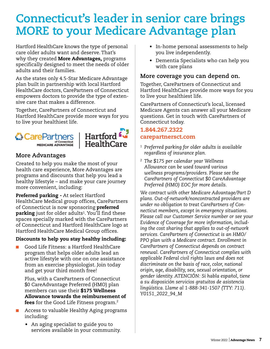# **Connecticut's leader in senior care brings MORE to your Medicare Advantage plan**

Hartford HealthCare knows the type of personal care older adults want and deserve. That's why they created **More Advantages**, programs specifically designed to meet the needs of older adults and their families.

As the states only 4.5-Star Medicare Advantage plan built in partnership with local Hartford HealthCare doctors, CarePartners of Connecticut empowers doctors to provide the type of extensive care that makes a difference.

Together, CarePartners of Connecticut and Hartford HealthCare provide more ways for you to live your healthiest life.





# **More Advantages**

Created to help you make the most of your health care experience, More Advantages are programs and discounts that help you lead a healthy lifestyle – and make your care journey more convenient, including:

Preferred parking - At select Hartford HealthCare Medical group offices, CarePartners of Connecticut is now sponsoring **preferred** parking just for older adults<sup>1</sup>. You'll find these spaces specially marked with the CarePartners of Connecticut and Hartford HealthCare logo at Hartford HealthCare Medical Group offices.

# Discounts to help you stay healthy including:

Good Life Fitness: a Hartford HealthCare program that helps older adults lead an active lifestyle with one on one assistance from an exercise physiologist. Join today and get your third month free!

Plus, with a CarePartners of Connecticut \$0 CareAdvantage Preferred (HMO) plan members can use their \$175 Wellness Allowance towards the reimbursement of fees for the Good Life Fitness program.<sup>2</sup>

- Access to valuable Healthy Aging programs including:
	- An aging specialist to guide you to services available in your community.
- In-home personal assessments to help you live independently.
- • Dementia Specialists who can help you with care plans

# **More coverage you can depend on.**

Together, CarePartners of Connecticut and Hartford HealthCare provide more ways for you to live your healthiest life.

CarePartners of Connecticut's local, licensed Medicare Agents can answer all your Medicare questions. Get in touch with CarePartners of Connecticut today.

# 1.844.267.2322 carepartnersct.com

- *<sup>1</sup> Preferred parking for older adults is available regardless of insurance plan.*
- *<sup>2</sup> The \$175 per calendar year Wellness Allowance can be used toward various wellness programs/providers. Please see the CarePartners of Connecticut \$0 CareAdvantage Preferred (HMO) EOC for more details.*

*We contract with other Medicare Advantage/Part D plans. Out-of-network/noncontracted providers are under no obligation to treat CarePartners of Connecticut members, except in emergency situations. Please call our Customer Service number or see your Evidence of Coverage for more information, including the cost sharing that applies to out-of-network services. CarePartners of Connecticut is an HMO/ PPO plan with a Medicare contract. Enrollment in CarePartners of Connecticut depends on contract renewal. CarePartners of Connecticut complies with applicable Federal civil rights laws and does not discriminate on the basis of race, color, national origin, age, disability, sex, sexual orientation, or gender identity. ATENCIÓN: Si habla español, tiene a su disposición servicios gratuitos de asistencia lingüística. Llame al 1-888-341-1507 (TTY: 711). Y0151\_2022\_94\_M*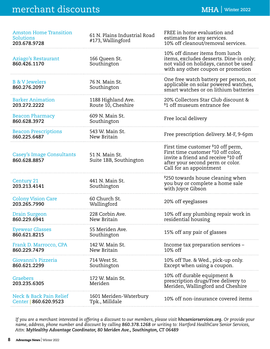# **merchant discounts MHA**  $|$   $\text{WH}_4$   $|$   $\text{Winter 2022}$

| <b>Amston Home Transition</b><br>Solutions<br>203.678.9728 | 61 N. Plains Industrial Road<br>#173, Wallingford | FREE in home evaluation and<br>estimates for any services.<br>10% off cleanout/removal services.                                                                                  |
|------------------------------------------------------------|---------------------------------------------------|-----------------------------------------------------------------------------------------------------------------------------------------------------------------------------------|
| Aziago's Restaurant<br>860.426.1170                        | 166 Queen St.<br>Southington                      | 10% off dinner items from lunch<br>items, excludes desserts. Dine-in only;<br>not valid on holidays, cannot be used<br>with any other coupon or promotion                         |
| <b>B &amp; V Jewelers</b><br>860.276.2097                  | 76 N. Main St.<br>Southington                     | One free watch battery per person, not<br>applicable on solar powered watches,<br>smart watches or on lithium batteries                                                           |
| <b>Barker Animation</b><br>203.272.2222                    | 1188 Highland Ave.<br>Route 10, Cheshire          | 20% Collectors Star Club discount &<br>\$1 off museum entrance fee                                                                                                                |
| <b>Beacon Pharmacy</b><br>860.628.3972                     | 609 N. Main St.<br>Southington                    | Free local delivery                                                                                                                                                               |
| <b>Beacon Prescriptions</b><br>860.225.6487                | 543 W. Main St.<br>New Britain                    | Free prescription delivery. M-F, 9-6pm                                                                                                                                            |
| <b>Casey's Image Consultants</b><br>860.628.8857           | 51 N. Main St.<br>Suite 1BB, Southington          | First time customer $$10$ off perm,<br>First time customer \$10 off color,<br>invite a friend and receive \$10 off<br>after your second perm or color.<br>Call for an appointment |
| Century 21<br>203.213.4141                                 | 441 N. Main St.<br>Southington                    | \$250 towards house cleaning when<br>you buy or complete a home sale<br>with Joyce Gibson                                                                                         |
| <b>Colony Vision Care</b><br>203.265.7990                  | 60 Church St.<br>Wallingford                      | 20% off eyeglasses                                                                                                                                                                |
| Drain Surgeon<br>860.229.6941                              | 228 Corbin Ave.<br>New Britain                    | 10% off any plumbing repair work in<br>residential housing                                                                                                                        |
| <b>Eyewear Glasses</b><br>860.621.8215                     | 55 Meriden Ave.<br>Southington                    | 15% off any pair of glasses                                                                                                                                                       |
| Frank D. Marrocco, CPA<br>860.229.7479                     | 142 W. Main St.<br>New Britain                    | Income tax preparation services -<br>10% off                                                                                                                                      |
| Giovanni's Pizzeria<br>860.621.2299                        | 714 West St.<br>Southington                       | 10% off Tue. & Wed., pick-up only.<br>Except when using a coupon.                                                                                                                 |
| Graebers<br>203.235.6305                                   | 172 W. Main St.<br>Meriden                        | 10% off durable equipment &<br>prescription drugs/Free delivery to<br>Meriden, Wallingford and Cheshire                                                                           |
| Neck & Back Pain Relief<br>Center   860.620.9523           | 1601 Meriden-Waterbury<br>Tpk., Milldale          | 10% off non-insurance covered items                                                                                                                                               |

*If you are a merchant interested in offering a discount to our members, please visit hhcseniorservices.org. Or provide your name, address, phone number and discount by calling 860.378.1268 or writing to: Hartford HealthCare Senior Services, Attn: MyHealthy Advantage Coordinator, 80 Meriden Ave., Southington, CT 06489*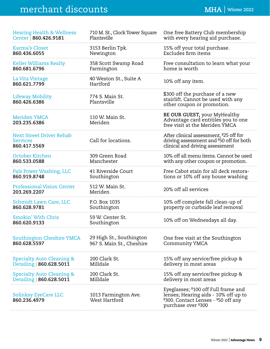Hearing Health & Wellness

| Center   860.426.9181                                              | Plantsville                           | with every hearing aid purchase.                                                                                                            |
|--------------------------------------------------------------------|---------------------------------------|---------------------------------------------------------------------------------------------------------------------------------------------|
| Karma's Closet                                                     | 3153 Berlin Tpk.                      | 15% off your total purchase.                                                                                                                |
| 860.436.6055                                                       | Newington                             | Excludes firm items                                                                                                                         |
| <b>Keller Williams Realty</b>                                      | 358 Scott Swamp Road                  | Free consultation to learn what your                                                                                                        |
| 860.681.6796                                                       | Farmington                            | home is worth                                                                                                                               |
| La Vita Vintage<br>860.621.7799                                    | 40 Weston St., Suite A<br>Hartford    | 10% off any item.                                                                                                                           |
| Lifeway Mobility<br>860.426.6386                                   | 774 S. Main St.<br>Plantsville        | \$300 off the purchase of a new<br>stairlift. Cannot be used with any<br>other coupon or promotion.                                         |
| <b>Meriden YMCA</b><br>203.235.6386                                | 110 W. Main St.<br>Meriden            | BE OUR GUEST, your MyHealthy<br>Advantage card entitiles you to one<br>free visit at the Meriden YMCA                                       |
| <b>Next Street Driver Rehab</b><br><b>Services</b><br>860.417.5569 | Call for locations.                   | After clinical assessment, \$25 off for<br>driving assessment and \$50 off for both<br>clinical and driving assessment                      |
| October Kitchen                                                    | 309 Green Road                        | 10% off all menu items. Cannot be used                                                                                                      |
| 860.533.0588                                                       | Manchester                            | with any other coupon or promotion.                                                                                                         |
| Pals Power Washing, LLC                                            | 41 Riverside Court                    | Free Cabot stain for all deck restora-                                                                                                      |
| 860.919.8748                                                       | Southington                           | tions or 10% off any house washing                                                                                                          |
| <b>Professional Vision Center</b><br>203.269.2207                  | 512 W. Main St.<br>Meriden            | 20% off all services                                                                                                                        |
| Schmidt Lawn Care, LLC                                             | P.O. Box 1035                         | 10% off complete fall clean-up of                                                                                                           |
| 860.628.9781                                                       | Southington                           | property or curbside leaf removal                                                                                                           |
| Smokin' With Chris<br>860.620.9133                                 | 59 W. Center St.<br>Southington       | 10% off on Wednesdays all day.                                                                                                              |
| Southington Cheshire YMCA                                          | 29 High St., Southington              | One free visit at the Southington                                                                                                           |
| 860.628.5597                                                       | 967 S. Main St., Cheshire             | Community YMCA                                                                                                                              |
| Specialty Auto Cleaning &                                          | 200 Clark St.                         | 15% off any service/free pickup &                                                                                                           |
| Detailing   860.628.5011                                           | Milldale                              | delivery in most areas                                                                                                                      |
| <b>Specialty Auto Cleaning &amp;</b>                               | 200 Clark St.                         | 15% off any service/free pickup &                                                                                                           |
| Detailing   860.628.5011                                           | Milldale                              | delivery in most areas                                                                                                                      |
| Solinksy EyeCare LLC<br>860.236.4979                               | 1013 Farmington Ave.<br>West Hartford | Eyeglasses; \$100 off Full frame and<br>lenses; Hearing aids - 10% off up to<br>\$300. Contact Lenses - \$50 off any<br>purchase over \$300 |

710 M. St., Clock Tower Square

ä,

..

 $\ddot{\phantom{a}}$ 

 $\ddot{\phantom{0}}$ 

.,

 $\ddot{\phantom{a}}$ 

 $\ddot{\phantom{a}}$ 

 $\ddot{\phantom{a}}$ 

 $\ddotsc$ 

 $\ddot{\phantom{a}}$ 

 $\ddot{\phantom{a}}$ 

. . . . . . . . . . . . . . .

One free Battery Club membership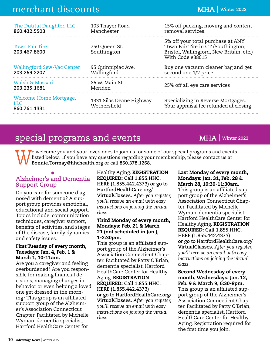| The Dutiful Daughter, LLC<br>860.432.5503      | 103 Thayer Road<br>Manchester            | 15% off packing, moving and content<br>removal services.                                                                                |
|------------------------------------------------|------------------------------------------|-----------------------------------------------------------------------------------------------------------------------------------------|
| <b>Town Fair Tire</b><br>203.467.8600          | 750 Queen St.<br>Southington             | 5% off your total purchase at ANY<br>Town Fair Tire in CT (Southington,<br>Bristol, Wallingford, New Britain, etc.)<br>With Code #38615 |
| Wallingford Sew-Vac Center<br>203.269.2207     | 95 Quinnipiac Ave.<br>Wallingford        | Buy one vacuum cleaner bag and get<br>second one 1/2 price                                                                              |
| Walsh & Massari<br>203.235.1681                | 86 W. Main St.<br>Meriden                | 25% off all eye care services                                                                                                           |
| Welcome Home Mortgage,<br>LLC.<br>860.761.1331 | 1331 Silas Deane Highway<br>Wethersfield | Specializing in Reverse Mortgages.<br>Your appraisal fee refunded at closing                                                            |
|                                                |                                          |                                                                                                                                         |

# special programs and events **MHA** | **Winter 2022**

We welcome you and your loved ones to join us for some of our special programs and events<br>listed below. If you have any questions regarding your membership, please contact us at<br>**Bonnie.Tormay@hhchealth.org** or call **860.3** listed below. If you have any questions regarding your membership, please contact us at **Bonnie.Tormay@hhchealth.org** or call **860.378.1268.**

# **Alzheimer's and Dementia Support Group**

Do you care for someone diagnosed with dementia? A support group provides emotional, educational and social support. Topics include: communication techniques, caregiver support, benefits of activities, and stages of the disease, family dynamics and safety issues.

### First Tuesday of every month, Tuesdays: Jan. 4, Feb. 1 & March 1, 10-11am.

Are you a caregiver and feeling overburdened? Are you responsible for making financial decisions, managing changes in behavior or even helping a loved one get dressed in the morning? This group is an affiliated support group of the Alzheimer's Association Connecticut Chapter. Facilitated by Michelle Wyman, dementia specialist, Hartford HealthCare Center for

Healthy Aging. REGISTRATION REQUIRED: **Call 1.855.HHC. HERE (1.855.442.4373) or go to HartfordHealthCare.org/ VirtualClasses.** *After you register, you'll receive an email with easy instructions on joining the virtual class.*

### Third Monday of every month, Mondays: Feb. 21 & March 21 (not scheduled in Jan.), 1-2:30pm.

This group is an affiliated support group of the Alzheimer's Association Connecticut Chapter. Facilitated by Patty O'Brian, dementia specialist, Hartford HealthCare Center for Healthy Aging. REGISTRATION REQUIRED: **Call 1.855.HHC. HERE (1.855.442.4373) or go to HartfordHealthCare.org/ VirtualClasses.** *After you register, you'll receive an email with easy instructions on joining the virtual class.*

Last Monday of every month, Mondays: Jan. 31, Feb. 28 & March 28, 10:30-11:30am. This group is an affiliated support group of the Alzheimer's Association Connecticut Chapter. Facilitated by Michelle Wyman, dementia specialist, Hartford HealthCare Center for Healthy Aging. REGISTRATION REQUIRED: **Call 1.855.HHC. HERE (1.855.442.4373) or go to HartfordHealthCare.org/ VirtualClasses.** *After you register, you'll receive an email with easy instructions on joining the virtual class.*

Second Wednesday of every month, Wednesdays: Jan. 12, Feb. 9 & March 9, 6:30-8pm. This group is an affiliated support group of the Alzheimer's Association Connecticut Chapter. Facilitated by Patty O'Brian, dementia specialist, Hartford HealthCare Center for Healthy Aging. Registration required for the first time you join.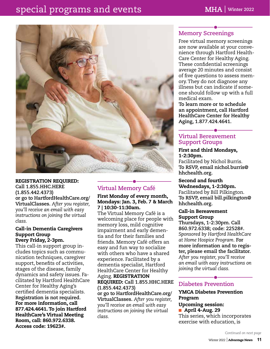# special programs and events **MHA** | **Winter 2022**



# REGISTRATION REQUIRED: **Call 1.855.HHC.HERE**

**(1.855.442.4373) or go to HartfordHealthCare.org/ VirtualClasses.** *After you register, you'll receive an email with easy instructions on joining the virtual class.*

#### Call-in Dementia Caregivers Support Group Every Friday, 2-3pm.

This call-in support group includes topics such as communication techniques, caregiver support, benefits of activities, stages of the disease, family dynamics and safety issues. Facilitated by Hartford HealthCare Center for Healthy Aging's certified dementia specialists. **Registration is not required.**  For more information, call 877.424.4641. To join Hartford HealthCare's Virtual Meeting Room, call: 860.972.6338. Access code: 19623#.

# **Virtual Memory Café**

First Monday of every month, Mondays: Jan. 3, Feb. 7 & March 7 | 10:30-11:30am.

The Virtual Memory Café is a welcoming place for people with memory loss, mild cognitive impairment and early dementia and for their families and friends. Memory Café offers an easy and fun way to socialize with others who have a shared experience. Facilitated by a dementia specialist, Hartford HealthCare Center for Healthy Aging. REGISTRATION REQUIRED: **Call 1.855.HHC.HERE (1.855.442.4373)** 

**or go to HartfordHealthCare.org/ VirtualClasses.** *After you register, you'll receive an email with easy instructions on joining the virtual class.*

# **Memory Screenings**

Free virtual memory screenings are now available at your convenience through Hartford Health-Care Center for Healthy Aging. These confidential screenings average 20 minutes and consist of five questions to assess memory. They do not diagnose any illness but can indicate if someone should follow up with a full medical exam.

**To learn more or to schedule an appointment, call Hartford HealthCare Center for Healthy Aging, 1.877.424.4641.**

# **Virtual Bereavement Support Groups**

#### First and third Mondays, 1-2:30pm.

Facilitated by Nichol Burris. **To RSVP, email nichol.burris@ hhchealth.org.** 

#### Second and fourth Wednesdays, 1-2:30pm. Facilitated by Bill Pilkington.

**To RSVP, email bill.pilkington@ hhchealth.org.** 

#### Call-in Bereavement Support Group

**Thursdays, 1-2:30pm. Call 860.972.6338; code: 22528#.** *Sponsored by Hartford HealthCare at Home Hospice Program.* **For more information and to register, please email the facilitator.**  *After you register, you'll receive an email with easy instructions on joining the virtual class.* 

# **Diabetes Prevention**

# YMCA Diabetes Prevention Program

Upcoming session: ■ April 4-Aug. 29 This series, which incorporates exercise with education, is

C*ontinued on next page*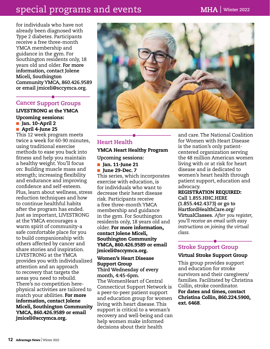# special programs and events **MHA** | **Winter 2022**

for individuals who have not already been diagnosed with Type 2 diabetes. Participants receive a free three-month YMCA membership and guidance in the gym. For Southington residents only, 18 years old and older. **For more information, contact Jolene Miceli, Southington Community YMCA, 860.426.9589 or email jmiceli@sccymca.org.**

# **Cancer Support Groups**

### LIVESTRONG at the YMCA Upcoming sessions: ■ Jan. 10-April 2 ■ April 4-June 25

This 12 week program meets twice a week for 60-90 minutes, using traditional exercise methods to ease you back into fitness and help you maintain a healthy weight. You'll focus on: Building muscle mass and strength; increasing flexibility and endurance and improving confidence and self-esteem. Plus, learn about wellness, stress reduction techniques and how to continue healthful habits after the program has ended. Just as important, LIVESTRONG at the YMCA encourages a warm spirit of community-a safe comfortable place for you to build companionship with others affected by cancer and share stories and inspiration. LIVESTRONG at the YMCA provides you with individualized attention and an approach to recovery that targets the areas you need to rebuild. There's no competition herephysical activities are tailored to match your abilities. For more information, contact Jolene Miceli, Southington Community YMCA, 860.426.9589 or email jmiceli@sccymca.org.



# **Heart Health**

# YMCA Heart Healthy Program

**Upcoming sessions:**

- Jan. 11-June 21
- June 29-Dec. 7

This series, which incorporates exercise with education, is for individuals who want to decrease their heart disease risk. Participants receive a free three-month YMCA membership and guidance in the gym. For Southington residents only, 18 years old and older. For more information, contact Jolene Miceli, Southington Community YMCA, 860.426.9589 or email jmiceli@sccymca.org.

# Women's Heart Disease Support Group **Third Wednesday of every**

**month, 4:45-6pm.** The WomenHeart of Central Connecticut Support Network is a peer-to-peer patient support and education group for women living with heart disease. This support is critical to a woman's recovery and well-being and can help women make informed decisions about their health

and care. The National Coalition for Women with Heart Disease is the nation's only patientcentered organization serving the 48 million American women living with or at risk for heart disease and is dedicated to women's heart health through patient support, education and advocacy.

### REGISTRATION REQUIRED: **Call 1.855.HHC.HERE (1.855.442.4373) or go to HartfordHealthCare.org/ VirtualClasses.** *After you register, you'll receive an email with easy instructions on joining the virtual class.*

# **Stroke Support Group**

# Virtual Stroke Support Group

This group provides support and education for stroke survivors and their caregivers/ families. Facilitated by Christina Collin, stroke coordinator. For dates and times, contact Christina Collin, 860.224.5900, ext. 6468.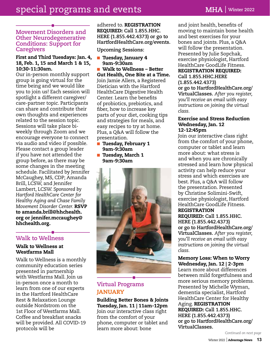# **MHA** | **Winter 2022** special programs and events **MHA** | **Winter 2022**

# **Movement Disorders and Other Neurodegenerative Conditions: Support for Caregivers**

# First and Third Tuesdays: Jan. 4, 18, Feb. 1, 15 and March 1 & 15, 10:30-11:30am.

Our in-person monthly support group is going virtual for the time being and we would like you to join us! Each session will spotlight a different caregiver/ care-partner topic. Participants can share and contribute their own thoughts and experiences related to the session topic. Sessions will take place biweekly through Zoom and we encourage everyone to connect via audio and video if possible. Please contact a group leader if you have not attended the group before, as there may be some changes in the meeting schedule. Facilitated by Jennifer McCaughey, MS, CDP; Amanda Brill, LCSW, and Jennifer Lambert, LCSW. *Sponsored by Hartford HealthCare Center for Healthy Aging and Chase Family Movement Disorder Center.* RSVP to amanda.brill@hhchealth. org or jennifer.mccaughey@ hhchealth.org.

# **Walk to Wellness**

# Walk to Wellness at Westfarms Mall

Walk to Wellness is a monthly community education series presented in partnership with Westfarms Mall. Join us in-person once a month to learn from one of our experts in the Hartford HealthCare Rest & Relaxation Lounge outside Nordstrom on the 1st Floor of Westfarms Mall. Coffee and breakfast snacks will be provided. All COVID-19 protocols will be

adhered to. REGISTRATION REQUIRED: **Call 1.855.HHC. HERE (1.855.442.4373) or go to HartfordHealthCare.org/events.**

**Upcoming Sessions:**

■ Tuesday, January 4 9am-9:30am

■ Walk to Wellness – Better Gut Health, One Bite at a Time. Join Jamie Allers, a Registered Dietician with the Hartford HealthCare Digestive Health Center. Learn the benefits of probiotics, prebiotics, and fiber, how to increase key parts of your diet, cooking tips and strategies for meals, and easy recipes to try at home. Plus, a Q&A will follow the presentation.

- Tuesday, February 1 9am-9:30am
- Tuesday, March 1 9am-9:30am



# **Virtual Programs** JANUARY

Building Better Bones & Joints Tuesday, Jan. 11 | 11am-12pm Join our interactive class right from the comfort of your phone, computer or tablet and learn more about: bone

and joint health, benefits of moving to maintain bone health and best exercises for your bones and joints. Plus, a Q&A will follow the presentation. Presented by Julie Sopchak, exercise physiologist, Hartford HealthCare GoodLife Fitness. REGISTRATION REQUIRED:

# **Call 1.855.HHC.HERE (1.855.442.4373)**

**or go to HartfordHealthCare.org/ VirtualClasses.** *After you register, you'll receive an email with easy instructions on joining the virtual class.*

#### Exercise and Stress Reduction Wednesday, Jan. 12 12-12:45pm

Join our interactive class right from the comfort of your phone, computer or tablet and learn more about: what stress is and when you are chronically stressed and learn how physical activity can help reduce your stress and which exercises are best. Plus, a Q&A will follow the presentation. Presented by Christine Solimini-Swift, exercise physiologist, Hartford HealthCare GoodLife Fitness.

# REGISTRATION

REQUIRED: **Call 1.855.HHC. HERE (1.855.442.4373) or go to HartfordHealthCare.org/ VirtualClasses.** *After you register, you'll receive an email with easy instructions on joining the virtual class.*

Memory Loss: When to Worry Wednesday, Jan. 12 | 2-3pm Learn more about differences between mild forgetfulness and more serious memory problems. Presented by Michelle Wyman, dementia specialist, Hartford HealthCare Center for Healthy Aging. REGISTRATION REQUIRED: **Call 1.855.HHC. HERE (1.855.442.4373) or go to HartfordHealthCare.org/ VirtualClasses.**

C*ontinued on next page*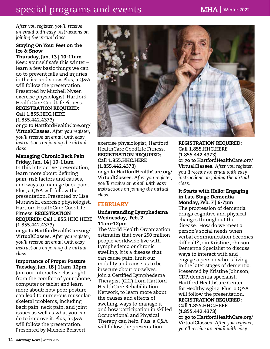# special programs and events events **MHA** | **Winter 2022**

*After you register, you'll receive an email with easy instructions on joining the virtual class.*

# Staying On Your Feet on the Ice & Snow

Thursday, Jan. 13 | 10-11am Keep yourself safe this winter – learn a few basic things we can do to prevent falls and injuries in the ice and snow. Plus, a Q&A will follow the presentation. Presented by Mitchell Nyser, exercise physiologist, Hartford HealthCare GoodLife Fitness. REGISTRATION REQUIRED: **Call 1.855.HHC.HERE (1.855.442.4373)** 

**or go to HartfordHealthCare.org/ VirtualClasses.** *After you register, you'll receive an email with easy instructions on joining the virtual class.*

# Managing Chronic Back Pain Friday, Jan. 14 | 10-11am

In this interactive presentation, learn more about: defining pain, risk factors and causes, and ways to manage back pain. Plus, a Q&A will follow the presentation. Presented by Lisa Murawski, exercise physiologist, Hartford HealthCare GoodLife Fitness. REGISTRATION REQUIRED: **Call 1.855.HHC.HERE (1.855.442.4373)** 

**or go to HartfordHealthCare.org/ VirtualClasses.** *After you register, you'll receive an email with easy instructions on joining the virtual class.*

Importance of Proper Posture Tuesday, Jan. 18 | 11am-12pm Join our interactive class right from the comfort of your phone, computer or tablet and learn more about: how poor posture can lead to numerous muscularskeletal problems, including back pain, neck pain, and joint issues as well as what you can do to improve it. Plus, a Q&A will follow the presentation. Presented by Michele Boisvert,



exercise physiologist, Hartford HealthCare GoodLife Fitness. REGISTRATION REQUIRED: **Call 1.855.HHC.HERE (1.855.442.4373) or go to HartfordHealthCare.org/ VirtualClasses.** *After you register, you'll receive an email with easy instructions on joining the virtual class.*

# FEBRUARY

# Understanding Lymphedema Wednesday, Feb. 2 11am-12pm

The World Health Organization estimates that over 250 million people worldwide live with Lymphedema or chronic swelling. It is a disease that can cause pain, limit our mobility and cause us to be insecure about ourselves. Join a Certified Lymphedema Therapist (CLT) from Hartford HealthCare Rehabilitation Network, to learn more about the causes and effects of swelling, ways to manage it and how participation in skilled Occupational and Physical Therapy can help. Plus, a Q&A will follow the presentation.

REGISTRATION REQUIRED: **Call 1.855.HHC.HERE (1.855.442.4373) or go to HartfordHealthCare.org/ VirtualClasses.** *After you register, you'll receive an email with easy instructions on joining the virtual class.*

### It Starts with Hello: Engaging in Late Stage Dementia Monday, Feb. 7 | 6-7pm

The progression of dementia brings cognitive and physical changes throughout the disease. How do we meet a person's social needs when verbal communication becomes difficult? Join Kristine Johnson, Dementia Specialist to discuss ways to interact with and engage a person who is living in the later stages of dementia. Presented by Kristine Johnson, CDP, dementia specialist, Hartford HealthCare Center for Healthy Aging. Plus, a Q&A will follow the presentation. REGISTRATION REQUIRED: **Call 1.855.HHC.HERE (1.855.442.4373) or go to HartfordHealthCare.org/ VirtualClasses.** *After you register, you'll receive an email with easy*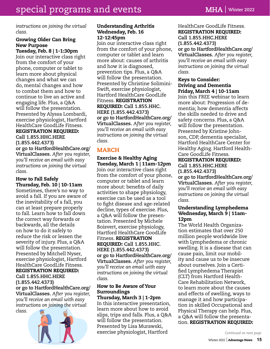*instructions on joining the virtual class.*

# Growing Older Can Bring New Purpose

Tuesday, Feb. 8 | 1-1:30pm Join our interactive class right from the comfort of your phone, computer or tablet to learn more about physical changes and what we can do, mental changes and how to combat them and how to continue to live an active and engaging life. Plus, a Q&A will follow the presentation. Presented by Alyssa Lombardi, exercise physiologist, Hartford HealthCare GoodLife Fitness. REGISTRATION REQUIRED:

**Call 1.855.HHC.HERE** 

**(1.855.442.4373) or go to HartfordHealthCare.org/ VirtualClasses.** *After you register, you'll receive an email with easy instructions on joining the virtual class.*

### How to Fall Safely Thursday, Feb. 10 | 10-11am

Sometimes, there's no way to avoid a fall. If you are aware of the inevitability of a fall, you can at least prepare properly to fall. Learn how to fall down the correct way forwards or backwards, all the details on how to do it safely to reduce the risk or lessen the severity of injury. Plus, a Q&A will follow the presentation. Presented by Mitchell Nyser, exercise physiologist, Hartford HealthCare GoodLife Fitness. REGISTRATION REQUIRED: **Call 1.855.HHC.HERE (1.855.442.4373)** 

**or go to HartfordHealthCare.org/ VirtualClasses.** *After you register, you'll receive an email with easy instructions on joining the virtual class.*



### Understanding Arthritis Wednesday, Feb. 16 12-12:45pm

Join our interactive class right from the comfort of your phone, computer or tablet and learn more about: causes of arthritis and how it is diagnosed, prevention tips. Plus, a Q&A will follow the presentation. Presented by Christine Solimini-Swift, exercise physiologist, Hartford HealthCare GoodLife Fitness. REGISTRATION REQUIRED: **Call 1.855.HHC. HERE (1.855.442.4373) or go to HartfordHealthCare.org/ VirtualClasses.** *After you register, you'll receive an email with easy instructions on joining the virtual class.*

# MARCH

# Exercise & Healthy Aging Tuesday, March 1 | 11am-12pm Join our interactive class right from the comfort of your phone, computer or tablet and learn more about: benefits of daily activities to shape physiology, exercise can be used as a tool to fight disease and age-related decline, types of exercise. Plus, a Q&A will follow the presentation. Presented by Michele Boisvert, exercise physiology, Hartford HealthCare GoodLife Fitness. REGISTRATION REQUIRED: **Call 1.855.HHC. HERE (1.855.442.4373) or go to HartfordHealthCare.org/ VirtualClasses.** *After you register, you'll receive an email with easy instructions on joining the virtual class.*

# How to Be Aware of Your Surroundings

Thursday, March 3 | 1-2pm In this interactive presentation, learn more about how to avoid slips, trips and falls. Plus, a Q&A will follow the presentation. Presented by Lisa Murawski, exercise physiologist, Hartford

# HealthCare GoodLife Fitness. REGISTRATION REQUIRED: **Call 1.855.HHC.HERE (1.855.442.4373) or go to HartfordHealthCare.org/ VirtualClasses.** *After you register, you'll receive an email with easy instructions on joining the virtual class.*

#### Keys to Consider: Driving and Dementia Friday, March 4 | 10-11am

Join this FREE webinar to learn more about: Progression of dementia; how dementia affects the skills needed to drive and safety concerns. Plus, a Q&A will follow the presentation. Presented by Kristine Johnson, CDP, dementia specialist, Hartford HealthCare Center for Healthy Aging. Hartford Health-Care GoodLife Fitness. REGISTRATION REQUIRED:

# **Call 1.855.HHC.HERE (1.855.442.4373)**

**or go to HartfordHealthCare.org/ VirtualClasses.** *After you register, you'll receive an email with easy instructions on joining the virtual class.*

# Understanding Lymphedema Wednesday, March 9 | 11am-12pm

The World Health Organization estimates that over 250 million people worldwide live with Lymphedema or chronic swelling. It is a disease that can cause pain, limit our mobility and cause us to be insecure about ourselves. Join a Certified Lymphedema Therapist (CLT) from Hartford Health-Care Rehabilitation Network, to learn more about the causes and effects of swelling, ways to manage it and how participation in skilled Occupational and Physical Therapy can help. Plus, a Q&A will follow the presentation. REGISTRATION REQUIRED:

C*ontinued on next page*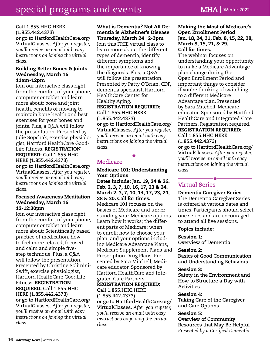#### **Call 1.855.HHC.HERE (1.855.442.4373) or go to HartfordHealthCare.org/ VirtualClasses.** *After you register, you'll receive an email with easy instructions on joining the virtual class.*

# Building Better Bones & Joints Wednesday, March 16 11am-12pm

Join our interactive class right from the comfort of your phone, computer or tablet and learn more about: bone and joint health, benefits of moving to maintain bone health and best exercises for your bones and joints. Plus, a Q&A will follow the presentation. Presented by Julie Sopchak, exercise physiologist, Hartford HealthCare Good-Life Fitness. REGISTRATION REQUIRED: **Call 1.855.HHC. HERE (1.855.442.4373) or go to HartfordHealthCare.org/ VirtualClasses.** *After you register, you'll receive an email with easy instructions on joining the virtual class.*

### Focused Awareness Meditation Wednesday, March 16 12-12:30pm

Join our interactive class right from the comfort of your phone, computer or tablet and learn more about: Scientifically based practice of medication, how to feel more relaxed, focused and calm and simple fivestep technique. Plus, a Q&A will follow the presentation. Presented by Christine Solimini-Swift, exercise physiologist, Hartford HealthCare GoodLife Fitness. REGISTRATION REQUIRED: **Call 1.855.HHC. HERE (1.855.442.4373) or go to HartfordHealthCare.org/ VirtualClasses.** *After you register, you'll receive an email with easy instructions on joining the virtual class.*

What is Dementia? Not All Dementia is Alzheimer's Disease Thursday, March 24 | 2-3pm Join this FREE virtual class to learn more about the different types of dementia, identify different symptoms and the importance of knowing the diagnosis. Plus, a Q&A will follow the presentation. Presented by Patty O'Brian, CDP, dementia specialist, Hartford HealthCare Center for Healthy Aging. REGISTRATION REQUIRED: **Call 1.855.HHC.HERE (1.855.442.4373) or go to HartfordHealthCare.org/ VirtualClasses.** *After you register, you'll receive an email with easy instructions on joining the virtual class.*

# **Medicare**

*class.*

Medicare 101: Understanding Your Options Dates include: Jan. 19, 24 & 26. Feb. 2, 3, 7, 10, 16, 17, 23 & 24. March 2, 3, 7, 10, 14, 17, 23, 24, 28 & 30. Call for times. Medicare 101 focuses on the basics of Medicare and understanding your Medicare options. Learn how it works; the different parts of Medicare; when to enroll; how to choose your plan; and your options including Medicare Advantage Plans, Medicare Supplement Plans and Prescription Drug Plans. Presented by Sara Mitchell, Medicare educator. Sponsored by Hartford HealthCare and Integrated Care Partners. REGISTRATION REQUIRED: **Call 1.855.HHC.HERE (1.855.442.4373) or go to HartfordHealthCare.org/ VirtualClasses.** *After you register, you'll receive an email with easy instructions on joining the virtual* 

# Making the Most of Medicare's Open Enrollment Period Jan. 18, 24, 31, Feb. 8, 15, 22, 28, March 8, 15, 21, & 29. Call for times.

The webinar focuses on understanding your opportunity to make a Medicare Advantage plan change during the Open Enrollment Period and important things to consider if you're thinking of switching to a different Medicare Advantage plan. Presented by Sara Mitchell, Medicare educator. Sponsored by Hartford HealthCare and Integrated Care Partners. Registration required. REGISTRATION REQUIRED: **Call 1.855.HHC.HERE (1.855.442.4373) or go to HartfordHealthCare.org/ VirtualClasses.** *After you register,* 

*you'll receive an email with easy instructions on joining the virtual class.*

# **Virtual Series**

# Dementia Caregiver Series

The Dementia Caregiver Series is offered at various dates and times. Participants should select one series and are encouraged to attend all five sessions.

# Topics include:

Session 1: **Overview of Dementia**

# Session 2:

**Basics of Good Communication and Understanding Behaviors**

# Session 3:

**Safety in the Environment and How to Structure a Day with Activities**

# Session 4:

**Taking Care of the Caregiver and Care Options**

# Session 5:

**Overview of Community Resources that May Be Helpful**  *Presented by a Certified Dementia*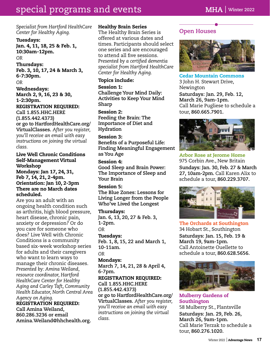# **MHA** | **Winter 2022** special programs and events **MHHA** | **Winter 2022 Spring 2021**

*Specialist from Hartford HealthCare Center for Healthy Aging.*

### Tuesdays:

Jan. 4, 11, 18, 25 & Feb. 1, 10:30am-12pm.

*OR*

Thursdays: Feb. 3, 10, 17, 24 & March 3, 6-7:30pm.

*OR*

Wednesdays:

March 2, 9, 16, 23 & 30, 1-2:30pm. REGISTRATION REQUIRED:

**Call 1.855.HHC.HERE (1.855.442.4373) or go to HartfordHealthCare.org/ VirtualClasses.** *After you register, you'll receive an email with easy instructions on joining the virtual class.*

# Live Well Chronic Conditions Self-Management Virtual Workshop

Mondays: Jan 17, 24, 31, Feb 7, 14, 21, 2-4pm. Orientation: Jan 10, 2-3pm There are no March dates scheduled.

Are you an adult with an ongoing health condition such as arthritis, high blood pressure, heart disease, chronic pain, anxiety or depression? Or do you care for someone who does? Live Well with Chronic Conditions is a community based six-week workshop series for adults and their caregivers who want to learn ways to manage their chronic diseases. *Presented by: Amina Weiland, resource coordinator, Hartford HealthCare Center for Healthy Aging and Carley Taft, Community Health Educator, North Central Area Agency on Aging.*

REGISTRATION REQUIRED: **Call Amina Weiland, 860.286.3236 or email Amina.Weiland@hhchealth.org.**

# Healthy Brain Series

The Healthy Brain Series is offered at various dates and times. Participants should select one series and are encouraged to attend all five sessions. *Presented by a certified dementia specialist from Hartford HealthCare Center for Healthy Aging.*

# Topics include:

Session 1:

**Challenge Your Mind Daily: Activities to Keep Your Mind Sharp**

Session 2: **Feeding the Brain: The Importance of Diet and Hydration**

### Session 3:

**Benefits of a Purposeful Life: Finding Meaningful Engagement as You Age**

Session 4: **Good Sleep and Brain Power: The Importance of Sleep and Your Brain**

# Session 5:

**The Blue Zones: Lessons for Living Longer from the People Who've Lived the Longest**

# Thursdays:

**Jan. 6, 13, 20, 27 & Feb. 3, 1-2pm.** *OR*

Tuesdays:

**Feb. 1, 8, 15, 22 and March 1, 10-11am.** *OR*

# Mondays:

**March 7, 14, 21, 28 & April 4, 6-7pm.**

REGISTRATION REQUIRED:

**Call 1.855.HHC.HERE (1.855.442.4373) or go to HartfordHealthCare.org/ VirtualClasses.** *After you register, you'll receive an email with easy instructions on joining the virtual class.*

# **Open Houses**



Cedar Mountain Commons 3 John H. Stewart Drive, Newington **Saturdays: Jan. 29, Feb. 12, March 26, 9am-1pm.**  Call Marie Pugliese to schedule a tour, **860.665.7901.**



Arbor Rose at Jerome Home 975 Corbin Ave., New Britain **Sundays: Jan. 30, Feb. 27 & March 27, 10am-2pm.** Call Karen Alix to schedule a tour, **860.229.3707.**



The Orchards at Southington 34 Hobart St., Southington **Saturdays: Jan. 15, Feb. 19 & March 19, 9am-1pm.** Call Antoinette Ouellette to schedule a tour, **860.628.5656.**



Mulberry Gardens of Southington 58 Mulberry St., Plantsville **Saturdays: Jan. 29, Feb. 26, March 26, 9am-1pm.**  Call Marie Terzak to schedule a tour, **860.276.1020.**